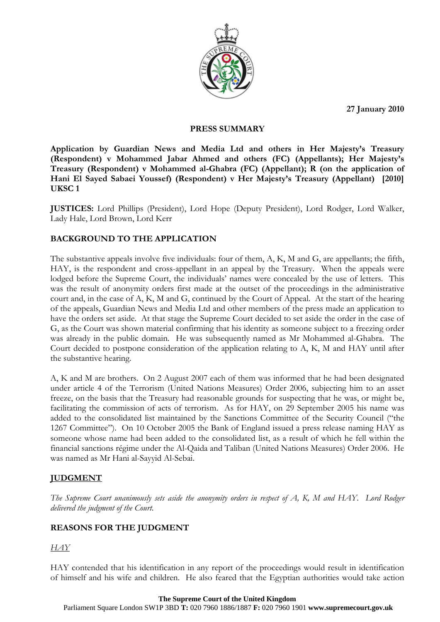**27 January 2010** 



#### **PRESS SUMMARY**

**Application by Guardian News and Media Ltd and others in Her Majesty's Treasury (Respondent) v Mohammed Jabar Ahmed and others (FC) (Appellants); Her Majesty's Treasury (Respondent) v Mohammed al-Ghabra (FC) (Appellant); R (on the application of Hani El Sayed Sabaei Youssef) (Respondent) v Her Majesty's Treasury (Appellant) [2010] UKSC 1** 

**JUSTICES:** Lord Phillips (President), Lord Hope (Deputy President), Lord Rodger, Lord Walker, Lady Hale, Lord Brown, Lord Kerr

## **BACKGROUND TO THE APPLICATION**

The substantive appeals involve five individuals: four of them, A, K, M and G, are appellants; the fifth, HAY, is the respondent and cross-appellant in an appeal by the Treasury. When the appeals were lodged before the Supreme Court, the individuals' names were concealed by the use of letters. This was the result of anonymity orders first made at the outset of the proceedings in the administrative court and, in the case of A, K, M and G, continued by the Court of Appeal. At the start of the hearing of the appeals, Guardian News and Media Ltd and other members of the press made an application to have the orders set aside. At that stage the Supreme Court decided to set aside the order in the case of G, as the Court was shown material confirming that his identity as someone subject to a freezing order was already in the public domain. He was subsequently named as Mr Mohammed al-Ghabra. The Court decided to postpone consideration of the application relating to A, K, M and HAY until after the substantive hearing.

A, K and M are brothers. On 2 August 2007 each of them was informed that he had been designated under article 4 of the Terrorism (United Nations Measures) Order 2006, subjecting him to an asset freeze, on the basis that the Treasury had reasonable grounds for suspecting that he was, or might be, facilitating the commission of acts of terrorism. As for HAY, on 29 September 2005 his name was added to the consolidated list maintained by the Sanctions Committee of the Security Council ("the 1267 Committee"). On 10 October 2005 the Bank of England issued a press release naming HAY as someone whose name had been added to the consolidated list, as a result of which he fell within the financial sanctions régime under the Al-Qaida and Taliban (United Nations Measures) Order 2006. He was named as Mr Hani al-Sayyid Al-Sebai.

# **JUDGMENT**

*The Supreme Court unanimously sets aside the anonymity orders in respect of A, K, M and HAY. Lord Rodger delivered the judgment of the Court.* 

# **REASONS FOR THE JUDGMENT**

*HAY*

HAY contended that his identification in any report of the proceedings would result in identification of himself and his wife and children. He also feared that the Egyptian authorities would take action

Parliament Square London SW1P 3BD **T:** 020 7960 1886/1887 **F:** 020 7960 1901 **www.supremecourt.gov.uk**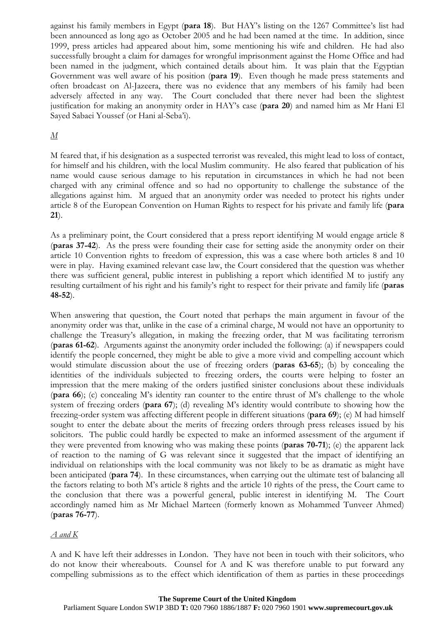against his family members in Egypt (**para 18**). But HAY's listing on the 1267 Committee's list had been announced as long ago as October 2005 and he had been named at the time. In addition, since 1999, press articles had appeared about him, some mentioning his wife and children. He had also successfully brought a claim for damages for wrongful imprisonment against the Home Office and had been named in the judgment, which contained details about him. It was plain that the Egyptian Government was well aware of his position (**para 19**). Even though he made press statements and often broadcast on Al-Jazeera, there was no evidence that any members of his family had been adversely affected in any way. The Court concluded that there never had been the slightest justification for making an anonymity order in HAY's case (**para 20**) and named him as Mr Hani El Sayed Sabaei Youssef (or Hani al-Seba'i).

## *M*

M feared that, if his designation as a suspected terrorist was revealed, this might lead to loss of contact, for himself and his children, with the local Muslim community. He also feared that publication of his name would cause serious damage to his reputation in circumstances in which he had not been charged with any criminal offence and so had no opportunity to challenge the substance of the allegations against him. M argued that an anonymity order was needed to protect his rights under article 8 of the European Convention on Human Rights to respect for his private and family life (**para 21**).

As a preliminary point, the Court considered that a press report identifying M would engage article 8 (**paras 37-42**). As the press were founding their case for setting aside the anonymity order on their article 10 Convention rights to freedom of expression, this was a case where both articles 8 and 10 were in play. Having examined relevant case law, the Court considered that the question was whether there was sufficient general, public interest in publishing a report which identified M to justify any resulting curtailment of his right and his family's right to respect for their private and family life (**paras 48-52**).

When answering that question, the Court noted that perhaps the main argument in favour of the anonymity order was that, unlike in the case of a criminal charge, M would not have an opportunity to challenge the Treasury's allegation, in making the freezing order, that M was facilitating terrorism (**paras 61-62**). Arguments against the anonymity order included the following: (a) if newspapers could identify the people concerned, they might be able to give a more vivid and compelling account which would stimulate discussion about the use of freezing orders (**paras 63-65**); (b) by concealing the identities of the individuals subjected to freezing orders, the courts were helping to foster an impression that the mere making of the orders justified sinister conclusions about these individuals (**para 66**); (c) concealing M's identity ran counter to the entire thrust of M's challenge to the whole system of freezing orders (**para 67**); (d) revealing M's identity would contribute to showing how the freezing-order system was affecting different people in different situations (**para 69**); (e) M had himself sought to enter the debate about the merits of freezing orders through press releases issued by his solicitors. The public could hardly be expected to make an informed assessment of the argument if they were prevented from knowing who was making these points (**paras 70-71**); (e) the apparent lack of reaction to the naming of G was relevant since it suggested that the impact of identifying an individual on relationships with the local community was not likely to be as dramatic as might have been anticipated (**para 74**). In these circumstances, when carrying out the ultimate test of balancing all the factors relating to both M's article 8 rights and the article 10 rights of the press, the Court came to the conclusion that there was a powerful general, public interest in identifying M. The Court accordingly named him as Mr Michael Marteen (formerly known as Mohammed Tunveer Ahmed) (**paras 76-77**).

#### *A and K*

A and K have left their addresses in London. They have not been in touch with their solicitors, who do not know their whereabouts. Counsel for A and K was therefore unable to put forward any compelling submissions as to the effect which identification of them as parties in these proceedings